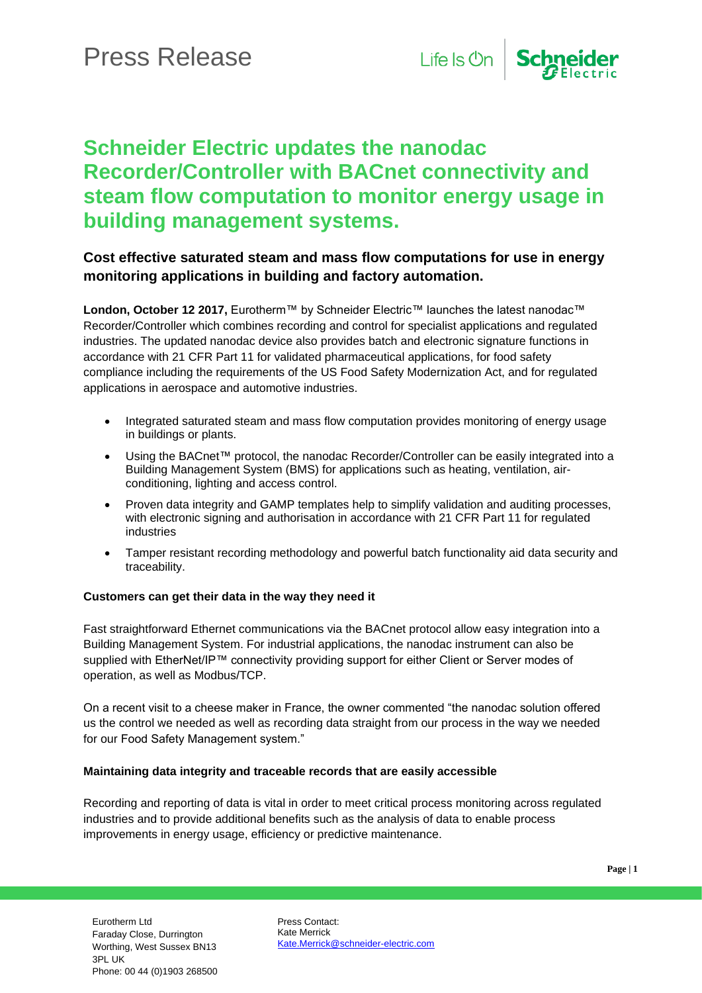

## **Schneider Electric updates the nanodac Recorder/Controller with BACnet connectivity and steam flow computation to monitor energy usage in building management systems.**

### **Cost effective saturated steam and mass flow computations for use in energy monitoring applications in building and factory automation.**

**London, October 12 2017,** Eurotherm™ by Schneider Electric™ launches the latest nanodac™ Recorder/Controller which combines recording and control for specialist applications and regulated industries. The updated nanodac device also provides batch and electronic signature functions in accordance with 21 CFR Part 11 for validated pharmaceutical applications, for food safety compliance including the requirements of the US Food Safety Modernization Act, and for regulated applications in aerospace and automotive industries.

- Integrated saturated steam and mass flow computation provides monitoring of energy usage in buildings or plants.
- Using the BACnet™ protocol, the nanodac Recorder/Controller can be easily integrated into a Building Management System (BMS) for applications such as heating, ventilation, airconditioning, lighting and access control.
- Proven data integrity and GAMP templates help to simplify validation and auditing processes, with electronic signing and authorisation in accordance with 21 CFR Part 11 for regulated industries
- Tamper resistant recording methodology and powerful batch functionality aid data security and traceability.

#### **Customers can get their data in the way they need it**

Fast straightforward Ethernet communications via the BACnet protocol allow easy integration into a Building Management System. For industrial applications, the nanodac instrument can also be supplied with EtherNet/IP™ connectivity providing support for either Client or Server modes of operation, as well as Modbus/TCP.

On a recent visit to a cheese maker in France, the owner commented "the nanodac solution offered us the control we needed as well as recording data straight from our process in the way we needed for our Food Safety Management system."

#### **Maintaining data integrity and traceable records that are easily accessible**

Recording and reporting of data is vital in order to meet critical process monitoring across regulated industries and to provide additional benefits such as the analysis of data to enable process improvements in energy usage, efficiency or predictive maintenance.

Press Contact: Kate Merrick [Kate.Merrick@schneider-electric.com](mailto:Kate.Merrick@schneider-electric.com)